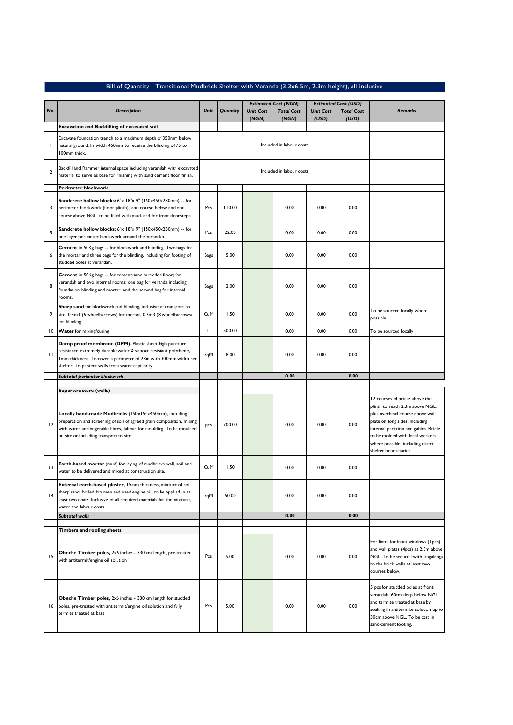| Bill of Quantity - Transitional Mudbrick Shelter with Veranda (3.3x6.5m, 2.3m height), all inclusive |  |
|------------------------------------------------------------------------------------------------------|--|
|------------------------------------------------------------------------------------------------------|--|

|                | <b>Description</b>                                                                                                                                                                                                                                                          | Unit        | Quantity | <b>Estimated Cost (NGN)</b> |                            | <b>Estimated Cost (USD)</b> |                            |                                                                                                                                                                                                                                                                                  |
|----------------|-----------------------------------------------------------------------------------------------------------------------------------------------------------------------------------------------------------------------------------------------------------------------------|-------------|----------|-----------------------------|----------------------------|-----------------------------|----------------------------|----------------------------------------------------------------------------------------------------------------------------------------------------------------------------------------------------------------------------------------------------------------------------------|
| No.            |                                                                                                                                                                                                                                                                             |             |          | <b>Unit Cost</b><br>(NGN)   | <b>Total Cost</b><br>(NGN) | <b>Unit Cost</b><br>(USD)   | <b>Total Cost</b><br>(USD) | <b>Remarks</b>                                                                                                                                                                                                                                                                   |
|                | <b>Excavation and Backfilling of excavated soil</b>                                                                                                                                                                                                                         |             |          |                             |                            |                             |                            |                                                                                                                                                                                                                                                                                  |
| $\overline{1}$ | Excavate foundation trench to a maximum depth of 350mm below<br>natural ground. In width 450mm to receive the blinding of 75 to<br>100mm thick.                                                                                                                             |             |          | Included in labour costs    |                            |                             |                            |                                                                                                                                                                                                                                                                                  |
| $\overline{2}$ | Backfill and Rammer internal space including verandah with excavated<br>material to serve as base for finishing with sand cement floor finish.                                                                                                                              |             |          | Included in labour costs    |                            |                             |                            |                                                                                                                                                                                                                                                                                  |
|                | Perimeter blockwork                                                                                                                                                                                                                                                         |             |          |                             |                            |                             |                            |                                                                                                                                                                                                                                                                                  |
| 3              | <b>Sandcrete hollow blocks:</b> $6" \times 18" \times 9"$ (150x450x230mm) -- for<br>perimeter blockwork (floor plinth), one course below and one<br>course above NGL, to be filled with mud, and for front doorsteps                                                        | Pcs         | 110.00   |                             | 0.00                       | 0.00                        | 0.00                       |                                                                                                                                                                                                                                                                                  |
| 5              | Sandcrete hollow blocks: 6"x 18"x 9" (150x450x230mm) -- for<br>one layer perimeter blockwork around the verandah.                                                                                                                                                           | Pcs         | 22.00    |                             | 0.00                       | 0.00                        | 0.00                       |                                                                                                                                                                                                                                                                                  |
| 6              | Cement in 50Kg bags -- for blockwork and blinding. Two bags for<br>the mortar and three bags for the blinding. Including for footing of<br>studded poles at verandah.                                                                                                       | <b>Bags</b> | 5.00     |                             | 0.00                       | 0.00                        | 0.00                       |                                                                                                                                                                                                                                                                                  |
| 8              | Cement in 50Kg bags -- for cement-sand screeded floor; for<br>verandah and two internal rooms; one bag for veranda including<br>foundation blinding and mortar, and the second bag for internal<br>rooms.                                                                   | <b>Bags</b> | 2.00     |                             | 0.00                       | 0.00                        | 0.00                       |                                                                                                                                                                                                                                                                                  |
| 9              | Sharp sand for blockwork and blinding, inclusive of transport to<br>site. 0.4m3 (6 wheelbarrows) for mortar, 0.6m3 (8 wheelbarrows)<br>for blinding.                                                                                                                        | CuM         | 1.50     |                             | 0.00                       | 0.00                        | 0.00                       | To be sourced locally where<br>possible                                                                                                                                                                                                                                          |
| 10             | Water for mixing/curing                                                                                                                                                                                                                                                     | L           | 500.00   |                             | 0.00                       | 0.00                        | 0.00                       | To be sourced locally                                                                                                                                                                                                                                                            |
| П              | Damp proof membrane (DPM). Plastic sheet high puncture<br>resistance extremely durable water & vapour resistant polythene,<br>Imm thickness. To cover a perimeter of 23m with 300mm width per<br>shelter. To protect walls from water capillarity                           | SqM         | 8.00     |                             | 0.00                       | 0.00                        | 0.00                       |                                                                                                                                                                                                                                                                                  |
|                | Subtotal perimeter blockwork                                                                                                                                                                                                                                                |             |          |                             | 0.00                       |                             | 0.00                       |                                                                                                                                                                                                                                                                                  |
|                |                                                                                                                                                                                                                                                                             |             |          |                             |                            |                             |                            |                                                                                                                                                                                                                                                                                  |
| 12             | Superstructure (walls)<br>Locally hand-made Mudbricks (150x150x450mm), including<br>preparation and screening of soil of agreed grain composition, mixing<br>with water and vegetable fibres, labour for moulding. To be moulded<br>on site or including transport to site. | pcs         | 700.00   |                             | 0.00                       | 0.00                        | 0.00                       | 12 courses of bricks above the<br>plinth to reach 2.3m above NGL,<br>plus overhead course above wall<br>plate on long sides. Including<br>internal partition and gables. Bricks<br>to be molded with local workers<br>where possible, including direct<br>shelter beneficiaries. |
| 3              | Earth-based mortar (mud) for laying of mudbricks wall, soil and<br>water to be delivered and mixed at construction site.                                                                                                                                                    | CuM         | 1.50     |                             | 0.00                       | 0.00                        | 0.00                       |                                                                                                                                                                                                                                                                                  |
| 4              | External earth-based plaster, 15mm thickness, mixture of soil,<br>sharp sand, boiled bitumen and used engine oil, to be applied in at<br>least two coats. Inclusive of all required materials for the mixture,<br>water and labour costs.                                   | SqM         | 50.00    |                             | 0.00                       | 0.00                        | 0.00                       |                                                                                                                                                                                                                                                                                  |
|                | <b>Subtotal walls</b>                                                                                                                                                                                                                                                       |             |          |                             | 0.00                       |                             | 0.00                       |                                                                                                                                                                                                                                                                                  |
|                | <b>Timbers and roofing sheets</b>                                                                                                                                                                                                                                           |             |          |                             |                            |                             |                            |                                                                                                                                                                                                                                                                                  |
| 15             | Obeche Timber poles, 2x6 inches - 330 cm length, pre-treated<br>with antitermit/engine oil solution                                                                                                                                                                         | Pcs         | 5.00     |                             | 0.00                       | 0.00                        | 0.00                       | For lintel for front windows (1pcs)<br>and wall plates (4pcs) at 2.3m above<br>NGL. To be secured with langalanga<br>to the brick walls at least two<br>courses below.                                                                                                           |
| 16             | Obeche Timber poles, 2x6 inches - 330 cm length for studded<br>poles, pre-treated with antitermit/engine oil solution and fully<br>termite treated at base                                                                                                                  | Pcs         | 5.00     |                             | 0.00                       | 0.00                        | 0.00                       | 5 pcs for studded poles at front<br>verandah, 60cm deep below NGL<br>and termite treated at base by<br>soaking in antitermite solution up to<br>30cm above NGL. To be cast in<br>sand-cement footing.                                                                            |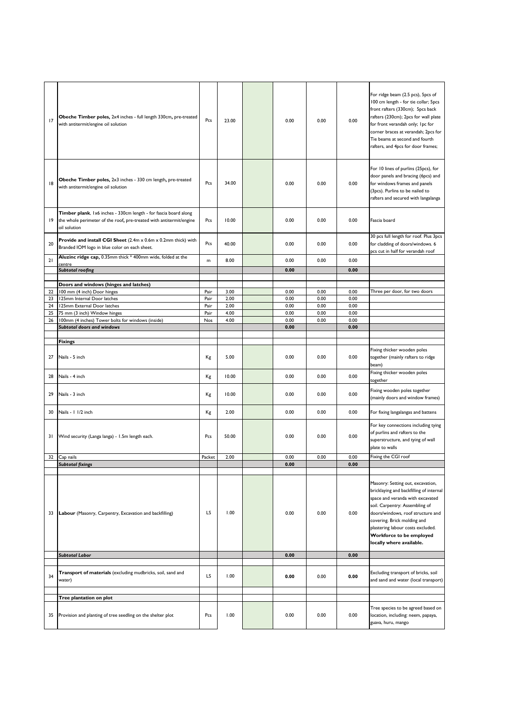| 17       | Obeche Timber poles, 2x4 inches - full length 330cm, pre-treated<br>with antitermit/engine oil solution                                                                        | Pcs          | 23.00        | 0.00         | 0.00         | 0.00         | For ridge beam (2.5 pcs), 5pcs of<br>100 cm length - for tie collar; 5pcs<br>front rafters (330cm); 5pcs back<br>rafters (230cm); 2pcs for wall plate<br>for front verandah only; Ipc for<br>corner braces at verandah; 2pcs for<br>Tie beams at second and fourth<br>rafters, and 4pcs for door frames;            |
|----------|--------------------------------------------------------------------------------------------------------------------------------------------------------------------------------|--------------|--------------|--------------|--------------|--------------|---------------------------------------------------------------------------------------------------------------------------------------------------------------------------------------------------------------------------------------------------------------------------------------------------------------------|
| 8        | Obeche Timber poles, 2x3 inches - 330 cm length, pre-treated<br>with antitermit/engine oil solution                                                                            | Pcs          | 34.00        | 0.00         | 0.00         | 0.00         | For 10 lines of purlins (25pcs), for<br>door panels and bracing (6pcs) and<br>for windows frames and panels<br>(3pcs). Purlins to be nailed to<br>rafters and secured with langalanga                                                                                                                               |
| 19       | Timber plank, 1x6 inches - 330cm length - for fascia board along<br>the whole perimeter of the roof, pre-treated with antitermit/engine<br>oil solution                        | Pcs          | 10.00        | 0.00         | 0.00         | 0.00         | Fascia board                                                                                                                                                                                                                                                                                                        |
| 20       | Provide and install CGI Sheet (2.4m x 0.6m x 0.2mm thick) with<br>Branded IOM logo in blue color on each sheet.<br>Aluzinc ridge cap, 0.35mm thick * 400mm wide, folded at the | Pcs          | 40.00        | 0.00         | 0.00         | 0.00         | 30 pcs full length for roof. Plus 3pcs<br>for cladding of doors/windows. 6<br>pcs cut in half for verandah roof                                                                                                                                                                                                     |
| 21       | centre                                                                                                                                                                         | m            | 8.00         | 0.00         | 0.00         | 0.00         |                                                                                                                                                                                                                                                                                                                     |
|          | <b>Subtotal roofing</b>                                                                                                                                                        |              |              | 0.00         |              | 0.00         |                                                                                                                                                                                                                                                                                                                     |
|          |                                                                                                                                                                                |              |              |              |              |              |                                                                                                                                                                                                                                                                                                                     |
|          | Doors and windows (hinges and latches)                                                                                                                                         |              |              |              |              |              |                                                                                                                                                                                                                                                                                                                     |
| 22<br>23 | 100 mm (4 inch) Door hinges<br>125mm Internal Door latches                                                                                                                     | Pair<br>Pair | 3.00<br>2.00 | 0.00<br>0.00 | 0.00<br>0.00 | 0.00<br>0.00 | Three per door, for two doors                                                                                                                                                                                                                                                                                       |
| 24       | 125mm External Door latches                                                                                                                                                    | Pair         | 2.00         | 0.00         | 0.00         | 0.00         |                                                                                                                                                                                                                                                                                                                     |
| 25       | 75 mm (3 inch) Window hinges                                                                                                                                                   | Pair         | 4.00         | 0.00         | 0.00         | 0.00         |                                                                                                                                                                                                                                                                                                                     |
| 26       | 100mm (4 inches) Tower bolts for windows (inside)                                                                                                                              | Nos          | 4.00         | 0.00         | 0.00         | 0.00         |                                                                                                                                                                                                                                                                                                                     |
|          | <b>Subtotal doors and windows</b>                                                                                                                                              |              |              | 0.00         |              | 0.00         |                                                                                                                                                                                                                                                                                                                     |
|          |                                                                                                                                                                                |              |              |              |              |              |                                                                                                                                                                                                                                                                                                                     |
|          | <b>Fixings</b>                                                                                                                                                                 |              |              |              |              |              |                                                                                                                                                                                                                                                                                                                     |
| 27       | Nails - 5 inch                                                                                                                                                                 | Kg           | 5.00         | 0.00         | 0.00         | 0.00         | Fixing thicker wooden poles<br>together (mainly rafters to ridge<br>beam)                                                                                                                                                                                                                                           |
| 28       | Nails - 4 inch                                                                                                                                                                 | Кg           | 10.00        | 0.00         | 0.00         | 0.00         | Fixing thicker wooden poles<br>together                                                                                                                                                                                                                                                                             |
| 29       | Nails - 3 inch                                                                                                                                                                 | Кg           | 10.00        | 0.00         | 0.00         | 0.00         | Fixing wooden poles together<br>(mainly doors and window frames)                                                                                                                                                                                                                                                    |
| 30       | Nails - 1 1/2 inch                                                                                                                                                             | Kg           | 2.00         | 0.00         | 0.00         | 0.00         | For fixing langalangas and battens                                                                                                                                                                                                                                                                                  |
| 31       | Wind security (Langa langa) - 1.5m length each.                                                                                                                                | Pcs          | 50.00        | 0.00         | 0.00         | 0.00         | For key connections including tying<br>of purlins and rafters to the<br>superstructure, and tying of wall<br>plate to walls                                                                                                                                                                                         |
| 32       | Cap nails                                                                                                                                                                      | Packet       | 2.00         | 0.00         | 0.00         | 0.00         | Fixing the CGI roof                                                                                                                                                                                                                                                                                                 |
|          | <b>Subtotal fixings</b>                                                                                                                                                        |              |              | 0.00         |              | 0.00         |                                                                                                                                                                                                                                                                                                                     |
| 33       | Labour (Masonry, Carpentry, Excavation and backfilling)                                                                                                                        | LS           | 1.00         | 0.00         | 0.00         | 0.00         | Masonry: Setting out, excavation,<br>bricklaying and backfilling of internal<br>space and veranda with excavated<br>soil. Carpentry: Assembling of<br>doors/windows, roof structure and<br>covering. Brick molding and<br>plastering labour costs excluded.<br>Workforce to be employed<br>locally where available. |
|          | <b>Subtotal Labor</b>                                                                                                                                                          |              |              | 0.00         |              | 0.00         |                                                                                                                                                                                                                                                                                                                     |
|          |                                                                                                                                                                                |              |              |              |              |              |                                                                                                                                                                                                                                                                                                                     |
| 34       | Transport of materials (excluding mudbricks, soil, sand and<br>water)                                                                                                          | LS           | 1.00         | 0.00         | 0.00         | 0.00         | Excluding transport of bricks, soil<br>and sand and water (local transport)                                                                                                                                                                                                                                         |
|          |                                                                                                                                                                                |              |              |              |              |              |                                                                                                                                                                                                                                                                                                                     |
|          | Tree plantation on plot                                                                                                                                                        |              |              |              |              |              |                                                                                                                                                                                                                                                                                                                     |
| 35       | Provision and planting of tree seedling on the shelter plot                                                                                                                    | Pcs          | 1.00         | 0.00         | 0.00         | 0.00         | Tree species to be agreed based on<br>location, including: neem, papaya,<br>guava, huru, mango                                                                                                                                                                                                                      |